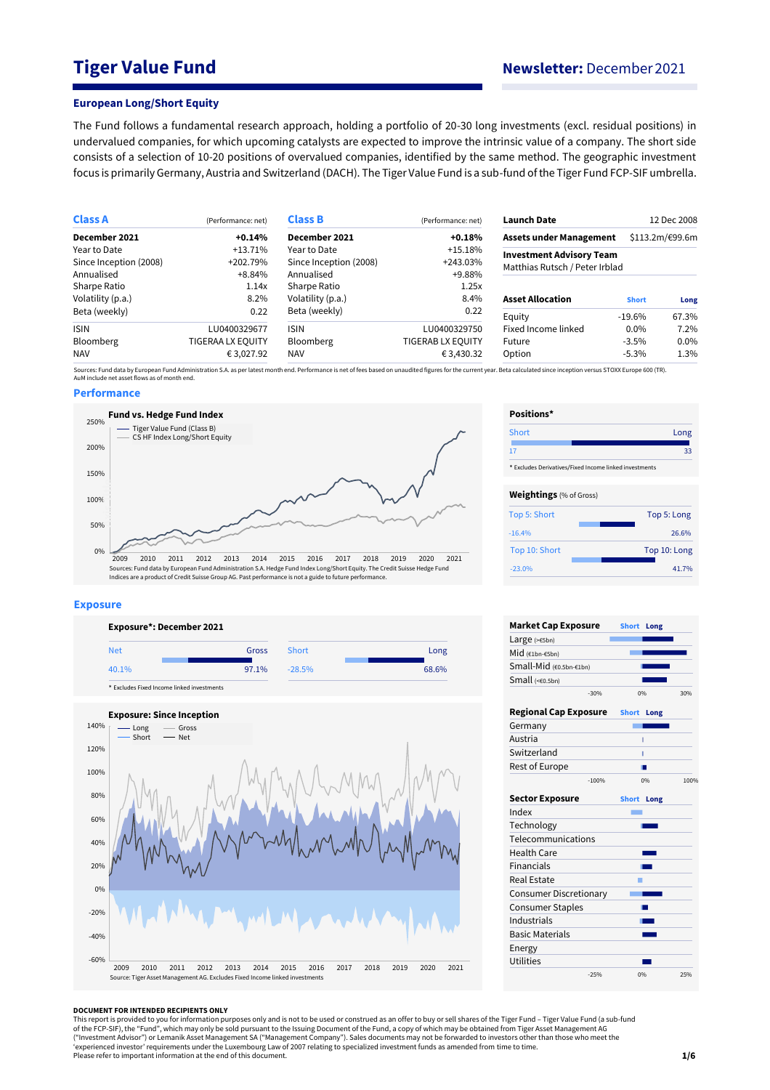# **Tiger Value Fund Newsletter:** December 2021

#### **European Long/Short Equity**

The Fund follows a fundamental research approach, holding a portfolio of 20-30 long investments (excl. residual positions) in undervalued companies, for which upcoming catalysts are expected to improve the intrinsic value of a company. The short side consists of a selection of 10-20 positions of overvalued companies, identified by the same method. The geographic investment focus is primarily Germany, Austria and Switzerland (DACH). The Tiger Value Fund is a sub-fund of the Tiger Fund FCP-SIF umbrella.

| <b>Class A</b>         | (Performance: net) | <b>Class B</b>         | (Performance: net) | <b>Launch Date</b>              |              | 12 Dec 2008     |  |
|------------------------|--------------------|------------------------|--------------------|---------------------------------|--------------|-----------------|--|
| December 2021          | $+0.14%$           | December 2021          | $+0.18%$           | <b>Assets under Management</b>  |              | \$113.2m/€99.6m |  |
| Year to Date           | $+13.71%$          | Year to Date           | $+15.18%$          | <b>Investment Advisory Team</b> |              |                 |  |
| Since Inception (2008) | +202.79%           | Since Inception (2008) | $+243.03\%$        | Matthias Rutsch / Peter Irblad  |              |                 |  |
| Annualised             | $+8.84%$           | Annualised             | +9.88%             |                                 |              |                 |  |
| Sharpe Ratio           | 1.14x              | Sharpe Ratio           | 1.25x              |                                 |              |                 |  |
| Volatility (p.a.)      | 8.2%               | Volatility (p.a.)      | 8.4%               | <b>Asset Allocation</b>         | <b>Short</b> | Long            |  |
| Beta (weekly)          | 0.22               | Beta (weekly)          | 0.22               | Equity                          | $-19.6\%$    | 67.3%           |  |
| <b>ISIN</b>            | LU0400329677       | <b>ISIN</b>            | LU0400329750       | Fixed Income linked             | $0.0\%$      | 7.2%            |  |
| <b>Bloomberg</b>       | TIGERAA LX EQUITY  | Bloomberg              | TIGERAB LX EQUITY  | Future                          | $-3.5\%$     | 0.0%            |  |
| <b>NAV</b>             | € 3,027.92         | <b>NAV</b>             | €3,430.32          | Option                          | $-5.3\%$     | 1.3%            |  |

Sources: Fund data by European Fund Administration S.A. as per latest month end. Performance is net of fees based on unaudited figures for the current year. Beta calculated since inception versus STOXX Europe 600 (TR).<br>AuM

## **Performance**



#### **Exposure**





| Short                                                  | Long         |
|--------------------------------------------------------|--------------|
| 17                                                     | 33           |
| * Excludes Derivatives/Fixed Income linked investments |              |
|                                                        |              |
| <b>Weightings</b> (% of Gross)                         |              |
| Top 5: Short                                           | Top 5: Long  |
| $-16.4%$                                               | 26.6%        |
| Top 10: Short                                          | Top 10: Long |
| $-23.0%$                                               | 41.7%        |

**Positions\***

| <b>Market Cap Exposure</b>    |         | <b>Short</b> | Long |      |
|-------------------------------|---------|--------------|------|------|
| Large $(>=5bn)$               |         |              |      |      |
| Mid (€1bn-€5bn)               |         |              |      |      |
| Small-Mid (€0.5bn-€1bn)       |         |              |      |      |
| Small $(60.5bn)$              |         |              |      |      |
|                               | $-30%$  |              | 0%   | 30%  |
| <b>Regional Cap Exposure</b>  |         | <b>Short</b> | Long |      |
| Germany                       |         |              |      |      |
| Austria                       |         |              | ī    |      |
| Switzerland                   |         |              | Т    |      |
| Rest of Europe                |         |              |      |      |
|                               | $-100%$ |              | 0%   | 100% |
| <b>Sector Exposure</b>        |         | <b>Short</b> | Long |      |
| Index                         |         |              |      |      |
| Technology                    |         |              |      |      |
| Telecommunications            |         |              |      |      |
| <b>Health Care</b>            |         |              |      |      |
| Financials                    |         |              |      |      |
| <b>Real Estate</b>            |         |              |      |      |
| <b>Consumer Discretionary</b> |         |              |      |      |
| <b>Consumer Staples</b>       |         |              |      |      |
| Industrials                   |         |              |      |      |
| <b>Basic Materials</b>        |         |              |      |      |
| Energy                        |         |              |      |      |
| Utilities                     |         |              |      |      |
|                               | $-25%$  |              | 0%   | 25%  |

#### **DOCUMENT FOR INTENDED RECIPIENTS ONLY**

This report is provided to you for information purposes only and is not to be used or construed as an offer to buy or sell shares of the Tiger Fund – Tiger Value Fund (a sub-fund<br>of the FCP-SIF), the "Fund", which may only ("Investment Advisor") or Lemanik Asset Management SA ("Management Company"). Sales documents may not be forwarded to investors other than those who meet the<br>'experienced investor' requirements under the Luxembourg Law of Please refer to important information at the end of this document.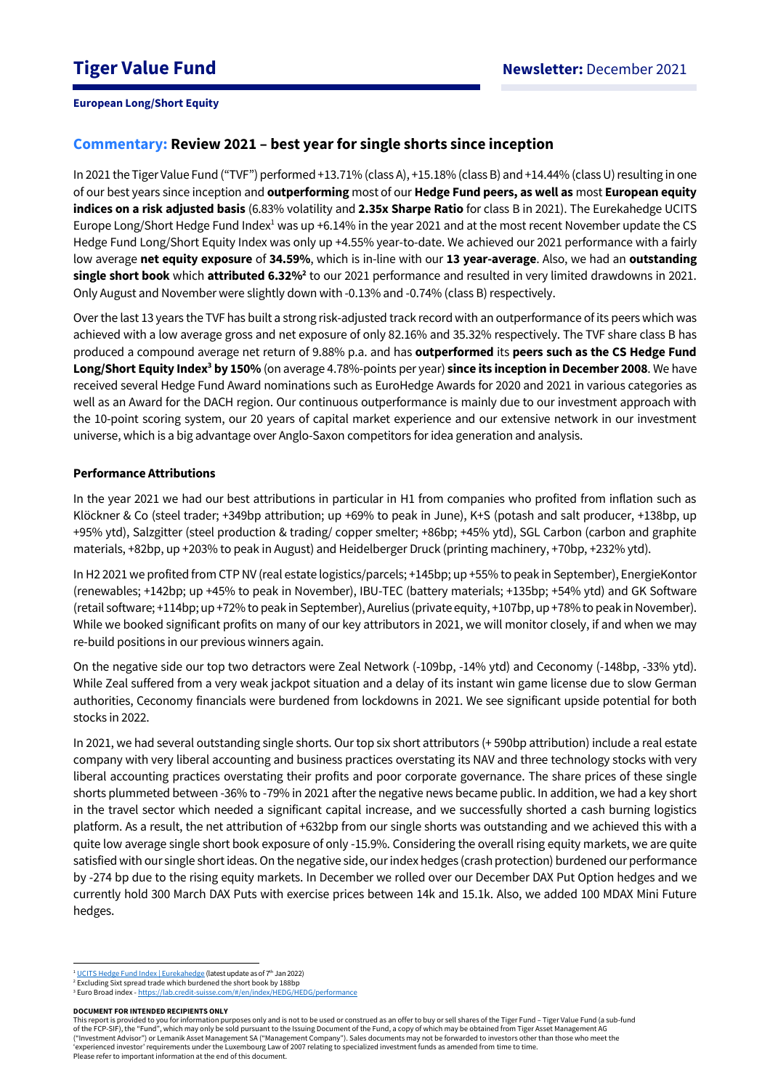# **Commentary: Review 2021 – best year for single shorts since inception**

In 2021 the Tiger Value Fund ("TVF") performed +13.71% (class A), +15.18% (class B) and +14.44% (class U)resulting in one of our best years since inception and **outperforming** most of our **Hedge Fund peers, as well as** most **European equity indices on a risk adjusted basis** (6.83% volatility and **2.35x Sharpe Ratio** for class B in 2021). The Eurekahedge UCITS Europe Long/Short Hedge Fund Index<sup>1</sup> was up +6.14% in the year 2021 and at the most recent November update the CS Hedge Fund Long/Short Equity Index was only up +4.55% year-to-date. We achieved our 2021 performance with a fairly low average **net equity exposure** of **34.59%**, which is in-line with our **13 year-average**. Also, we had an **outstanding single short book** which **attributed 6.32%<sup>2</sup>** to our 2021 performance and resulted in very limited drawdowns in 2021. Only August and November were slightly down with -0.13% and -0.74% (class B) respectively.

Over the last 13 years the TVF has built a strong risk-adjusted track record with an outperformance of its peers which was achieved with a low average gross and net exposure of only 82.16% and 35.32% respectively. The TVF share class B has produced a compound average net return of 9.88% p.a. and has **outperformed** its **peers such as the CS Hedge Fund Long/Short Equity Index<sup>3</sup> by 150%** (on average 4.78%-points per year) **since its inception in December 2008**. We have received several Hedge Fund Award nominations such as EuroHedge Awards for 2020 and 2021 in various categories as well as an Award for the DACH region. Our continuous outperformance is mainly due to our investment approach with the 10-point scoring system, our 20 years of capital market experience and our extensive network in our investment universe, which is a big advantage over Anglo-Saxon competitors for idea generation and analysis.

# **Performance Attributions**

In the year 2021 we had our best attributions in particular in H1 from companies who profited from inflation such as Klöckner & Co (steel trader; +349bp attribution; up +69% to peak in June), K+S (potash and salt producer, +138bp, up +95% ytd), Salzgitter (steel production & trading/ copper smelter; +86bp; +45% ytd), SGL Carbon (carbon and graphite materials, +82bp, up +203% to peak in August) and Heidelberger Druck (printing machinery, +70bp, +232% ytd).

In H2 2021 we profited from CTP NV (real estate logistics/parcels; +145bp; up +55% to peak in September), EnergieKontor (renewables; +142bp; up +45% to peak in November), IBU-TEC (battery materials; +135bp; +54% ytd) and GK Software (retail software; +114bp; up +72% to peak in September), Aurelius (private equity, +107bp, up +78% to peak in November). While we booked significant profits on many of our key attributors in 2021, we will monitor closely, if and when we may re-build positions in our previous winners again.

On the negative side our top two detractors were Zeal Network (-109bp, -14% ytd) and Ceconomy (-148bp, -33% ytd). While Zeal suffered from a very weak jackpot situation and a delay of its instant win game license due to slow German authorities, Ceconomy financials were burdened from lockdowns in 2021. We see significant upside potential for both stocks in 2022.

In 2021, we had several outstanding single shorts. Our top six short attributors (+ 590bp attribution) include a real estate company with very liberal accounting and business practices overstating its NAV and three technology stocks with very liberal accounting practices overstating their profits and poor corporate governance. The share prices of these single shorts plummeted between -36% to -79% in 2021 afterthe negative news became public. In addition, we had a key short in the travel sector which needed a significant capital increase, and we successfully shorted a cash burning logistics platform. As a result, the net attribution of +632bp from our single shorts was outstanding and we achieved this with a quite low average single short book exposure of only -15.9%. Considering the overall rising equity markets, we are quite satisfied with our single short ideas. On the negative side, our index hedges (crash protection) burdened our performance by -274 bp due to the rising equity markets. In December we rolled over our December DAX Put Option hedges and we currently hold 300 March DAX Puts with exercise prices between 14k and 15.1k. Also, we added 100 MDAX Mini Future hedges.

This report is provided to you for information purposes only and is not to be used or construed as an offer to buy or sell shares of the Tiger Fund – Tiger Value Fund (a sub-fund of the FCP-SIF), the "Fund", which may only be sold pursuant to the Issuing Document of the Fund, a copy of which may be obtained from Tiger Asset Management AG ("Investment Advisor") or Lemanik Asset Management SA ("Management Company"). Sales documents may not be forwarded to investors other than those who meet the 'experienced investor' requirements under the Luxembourg Law of 2007 relating to specialized investment funds as amended from time to time. Please refer to important information at the end of this document.

<sup>&</sup>lt;u>te Fund Index | Eurekahedge</u> (latest update as of 7<sup>th</sup> Jan 2022)

<sup>&</sup>lt;sup>2</sup> Excluding Sixt spread trade which burdened the short book by 188bp

<sup>&</sup>lt;sup>3</sup> Euro Broad index - <https://lab.credit-suisse.com/#/en/index/HEDG/HEDG/performance>

**DOCUMENT FOR INTENDED RECIPIENTS ONLY**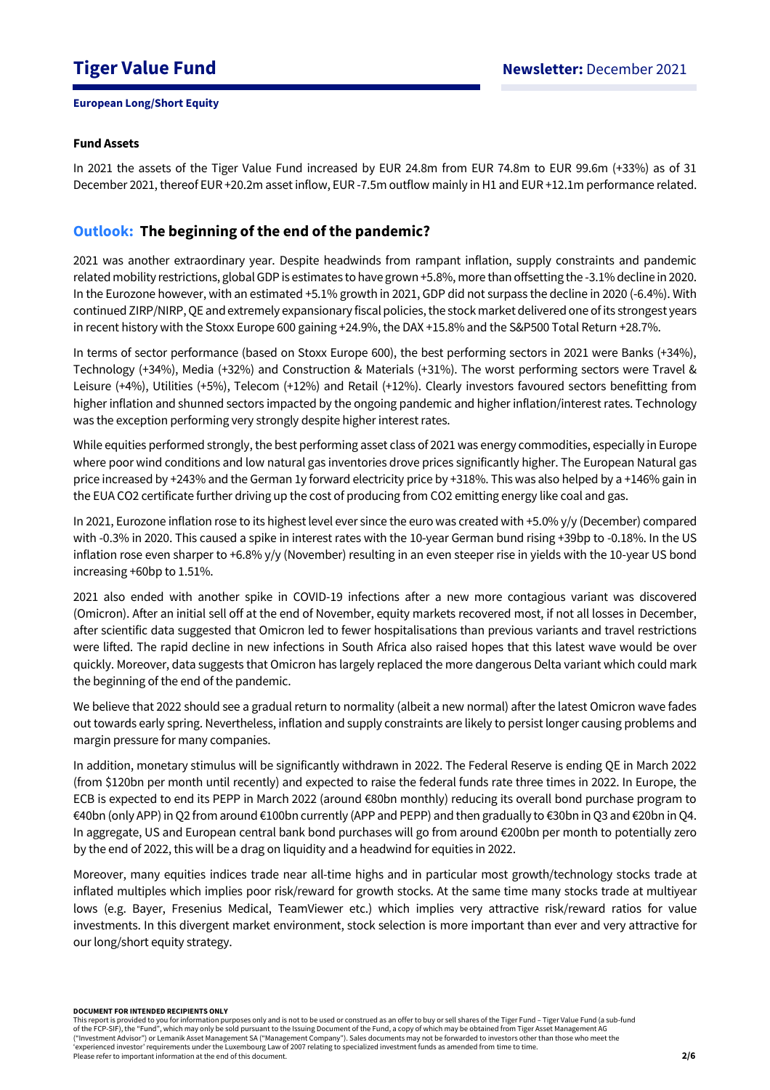# **Fund Assets**

In 2021 the assets of the Tiger Value Fund increased by EUR 24.8m from EUR 74.8m to EUR 99.6m (+33%) as of 31 December 2021, thereof EUR +20.2m asset inflow, EUR -7.5m outflow mainly in H1 and EUR +12.1m performance related.

# **Outlook: The beginning of the end of the pandemic?**

2021 was another extraordinary year. Despite headwinds from rampant inflation, supply constraints and pandemic related mobility restrictions, global GDP is estimates to have grown +5.8%, more than offsetting the -3.1% decline in 2020. In the Eurozone however, with an estimated +5.1% growth in 2021, GDP did not surpass the decline in 2020 (-6.4%). With continued ZIRP/NIRP, QE and extremely expansionary fiscal policies, the stock market delivered one of its strongest years in recent history with the Stoxx Europe 600 gaining +24.9%, the DAX +15.8% and the S&P500 Total Return +28.7%.

In terms of sector performance (based on Stoxx Europe 600), the best performing sectors in 2021 were Banks (+34%), Technology (+34%), Media (+32%) and Construction & Materials (+31%). The worst performing sectors were Travel & Leisure (+4%), Utilities (+5%), Telecom (+12%) and Retail (+12%). Clearly investors favoured sectors benefitting from higher inflation and shunned sectors impacted by the ongoing pandemic and higher inflation/interest rates. Technology was the exception performing very strongly despite higher interest rates.

While equities performed strongly, the best performing asset class of 2021 was energy commodities, especially in Europe where poor wind conditions and low natural gas inventories drove prices significantly higher. The European Natural gas price increased by +243% and the German 1y forward electricity price by +318%. This was also helped by a +146% gain in the EUA CO2 certificate further driving up the cost of producing from CO2 emitting energy like coal and gas.

In 2021, Eurozone inflation rose to its highest level ever since the euro was created with +5.0% y/y (December) compared with -0.3% in 2020. This caused a spike in interest rates with the 10-year German bund rising +39bp to -0.18%. In the US inflation rose even sharper to +6.8% y/y (November) resulting in an even steeper rise in yields with the 10-year US bond increasing +60bp to 1.51%.

2021 also ended with another spike in COVID-19 infections after a new more contagious variant was discovered (Omicron). After an initial sell off at the end of November, equity markets recovered most, if not all losses in December, after scientific data suggested that Omicron led to fewer hospitalisations than previous variants and travel restrictions were lifted. The rapid decline in new infections in South Africa also raised hopes that this latest wave would be over quickly. Moreover, data suggests that Omicron has largely replaced the more dangerous Delta variant which could mark the beginning of the end of the pandemic.

We believe that 2022 should see a gradual return to normality (albeit a new normal) after the latest Omicron wave fades out towards early spring. Nevertheless, inflation and supply constraints are likely to persist longer causing problems and margin pressure for many companies.

In addition, monetary stimulus will be significantly withdrawn in 2022. The Federal Reserve is ending QE in March 2022 (from \$120bn per month until recently) and expected to raise the federal funds rate three times in 2022. In Europe, the ECB is expected to end its PEPP in March 2022 (around €80bn monthly) reducing its overall bond purchase program to €40bn (only APP) in Q2 from around €100bn currently (APP and PEPP) and then gradually to €30bn in Q3 and €20bn in Q4. In aggregate, US and European central bank bond purchases will go from around €200bn per month to potentially zero by the end of 2022, this will be a drag on liquidity and a headwind for equities in 2022.

Moreover, many equities indices trade near all-time highs and in particular most growth/technology stocks trade at inflated multiples which implies poor risk/reward for growth stocks. At the same time many stocks trade at multiyear lows (e.g. Bayer, Fresenius Medical, TeamViewer etc.) which implies very attractive risk/reward ratios for value investments. In this divergent market environment, stock selection is more important than ever and very attractive for our long/short equity strategy.

#### **DOCUMENT FOR INTENDED RECIPIENTS ONLY**

This report is provided to you for information purposes only and is not to be used or construed as an offer to buy or sell shares of the Tiger Fund – Tiger Value Fund (a sub-fund of the FCP-SIF), the "Fund", which may only be sold pursuant to the Issuing Document of the Fund, a copy of which may be obtained from Tiger Asset Management AG ("Investment Advisor") or Lemanik Asset Management SA ("Management Company"). Sales documents may not be forwarded to investors other than those who meet the 'experienced investor' requirements under the Luxembourg Law of 2007 relating to specialized investment funds as amended from time to time. Please refer to important information at the end of this document.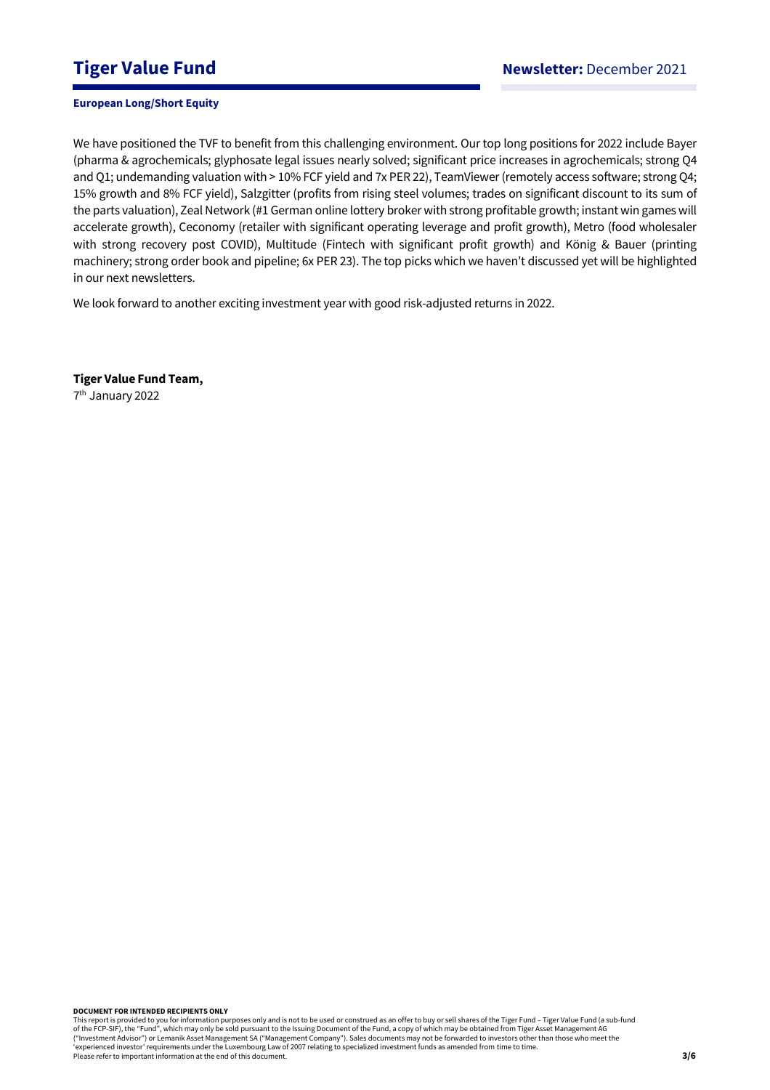We have positioned the TVF to benefit from this challenging environment. Our top long positions for 2022 include Bayer (pharma & agrochemicals; glyphosate legal issues nearly solved; significant price increases in agrochemicals; strong Q4 and Q1; undemanding valuation with > 10% FCF yield and 7x PER 22), TeamViewer (remotely access software; strong Q4; 15% growth and 8% FCF yield), Salzgitter (profits from rising steel volumes; trades on significant discount to its sum of the parts valuation), Zeal Network (#1 German online lottery broker with strong profitable growth; instant win games will accelerate growth), Ceconomy (retailer with significant operating leverage and profit growth), Metro (food wholesaler with strong recovery post COVID), Multitude (Fintech with significant profit growth) and König & Bauer (printing machinery; strong order book and pipeline; 6x PER 23). The top picks which we haven't discussed yet will be highlighted in our next newsletters.

We look forward to another exciting investment year with good risk-adjusted returns in 2022.

**Tiger Value Fund Team,** 

7 th January 2022

#### **DOCUMENT FOR INTENDED RECIPIENTS ONLY**

This report is provided to you for information purposes only and is not to be used or construed as an offer to buy or sell shares of the Tiger Fund – Tiger Value Fund (a sub-fund<br>of the FCP-SIF), the "Fund", which may only ("Investment Advisor") or Lemanik Asset Management SA ("Management Company"). Sales documents may not be forwarded to investors other than those who meet the 'experienced investor' requirements under the Luxembourg Law of 2007 relating to specialized investment funds as amended from time to time. Please refer to important information at the end of this document.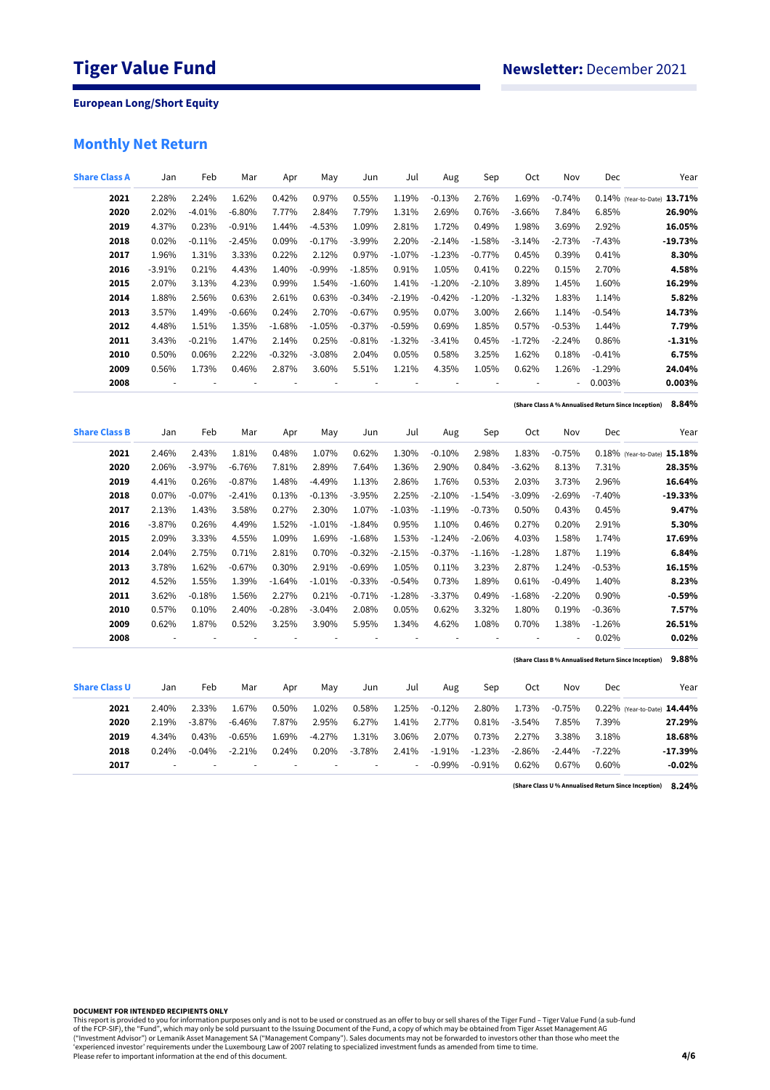# **Monthly Net Return**

| <b>Share Class A</b> | Jan      | Feb      | Mar      | Apr            | May      | Jun      | Jul      | Aug      | Sep                      | <b>Oct</b> | Nov      | Dec      | Year                                                         |
|----------------------|----------|----------|----------|----------------|----------|----------|----------|----------|--------------------------|------------|----------|----------|--------------------------------------------------------------|
| 2021                 | 2.28%    | 2.24%    | 1.62%    | 0.42%          | 0.97%    | 0.55%    | 1.19%    | $-0.13%$ | 2.76%                    | 1.69%      | $-0.74%$ |          | 0.14% (Year-to-Date) 13.71%                                  |
| 2020                 | 2.02%    | $-4.01%$ | $-6.80%$ | 7.77%          | 2.84%    | 7.79%    | 1.31%    | 2.69%    | 0.76%                    | $-3.66%$   | 7.84%    | 6.85%    | 26.90%                                                       |
| 2019                 | 4.37%    | 0.23%    | $-0.91%$ | 1.44%          | $-4.53%$ | 1.09%    | 2.81%    | 1.72%    | 0.49%                    | 1.98%      | 3.69%    | 2.92%    | 16.05%                                                       |
| 2018                 | 0.02%    | $-0.11%$ | $-2.45%$ | 0.09%          | $-0.17%$ | $-3.99%$ | 2.20%    | $-2.14%$ | $-1.58%$                 | $-3.14%$   | $-2.73%$ | $-7.43%$ | $-19.73%$                                                    |
| 2017                 | 1.96%    | 1.31%    | 3.33%    | 0.22%          | 2.12%    | 0.97%    | $-1.07%$ | $-1.23%$ | $-0.77%$                 | 0.45%      | 0.39%    | 0.41%    | 8.30%                                                        |
| 2016                 | $-3.91%$ | 0.21%    | 4.43%    | 1.40%          | $-0.99%$ | $-1.85%$ | 0.91%    | 1.05%    | 0.41%                    | 0.22%      | 0.15%    | 2.70%    | 4.58%                                                        |
| 2015                 | 2.07%    | 3.13%    | 4.23%    | 0.99%          | 1.54%    | $-1.60%$ | 1.41%    | $-1.20%$ | $-2.10%$                 | 3.89%      | 1.45%    | 1.60%    | 16.29%                                                       |
| 2014                 | 1.88%    | 2.56%    | 0.63%    | 2.61%          | 0.63%    | $-0.34%$ | $-2.19%$ | $-0.42%$ | $-1.20%$                 | $-1.32%$   | 1.83%    | 1.14%    | 5.82%                                                        |
| 2013                 | 3.57%    | 1.49%    | $-0.66%$ | 0.24%          | 2.70%    | $-0.67%$ | 0.95%    | 0.07%    | 3.00%                    | 2.66%      | 1.14%    | $-0.54%$ | 14.73%                                                       |
| 2012                 | 4.48%    | 1.51%    | 1.35%    | $-1.68%$       | $-1.05%$ | $-0.37%$ | $-0.59%$ | 0.69%    | 1.85%                    | 0.57%      | $-0.53%$ | 1.44%    | 7.79%                                                        |
| 2011                 | 3.43%    | $-0.21%$ | 1.47%    | 2.14%          | 0.25%    | $-0.81%$ | $-1.32%$ | $-3.41%$ | 0.45%                    | $-1.72%$   | $-2.24%$ | 0.86%    | $-1.31%$                                                     |
| 2010                 | 0.50%    | 0.06%    | 2.22%    | $-0.32%$       | $-3.08%$ | 2.04%    | 0.05%    | 0.58%    | 3.25%                    | 1.62%      | 0.18%    | $-0.41%$ | 6.75%                                                        |
| 2009                 | 0.56%    | 1.73%    | 0.46%    | 2.87%          | 3.60%    | 5.51%    | 1.21%    | 4.35%    | 1.05%                    | 0.62%      | 1.26%    | $-1.29%$ | 24.04%                                                       |
| 2008                 |          |          |          | $\overline{a}$ |          |          |          | ÷,       | ł,                       |            |          | 0.003%   | 0.003%                                                       |
|                      |          |          |          |                |          |          |          |          |                          |            |          |          | 8.84%<br>(Share Class A % Annualised Return Since Inception) |
| <b>Share Class B</b> | Jan      | Feb      | Mar      | Apr            | May      | Jun      | Jul      | Aug      | Sep                      | Oct        | Nov      | Dec      | Year                                                         |
| 2021                 | 2.46%    | 2.43%    | 1.81%    | 0.48%          | 1.07%    | 0.62%    | 1.30%    | $-0.10%$ | 2.98%                    | 1.83%      | $-0.75%$ |          | 0.18% (Year-to-Date) 15.18%                                  |
| 2020                 | 2.06%    | $-3.97%$ | $-6.76%$ | 7.81%          | 2.89%    | 7.64%    | 1.36%    | 2.90%    | 0.84%                    | $-3.62%$   | 8.13%    | 7.31%    | 28.35%                                                       |
| 2019                 | 4.41%    | 0.26%    | $-0.87%$ | 1.48%          | $-4.49%$ | 1.13%    | 2.86%    | 1.76%    | 0.53%                    | 2.03%      | 3.73%    | 2.96%    | 16.64%                                                       |
| 2018                 | 0.07%    | $-0.07%$ | $-2.41%$ | 0.13%          | $-0.13%$ | $-3.95%$ | 2.25%    | $-2.10%$ | $-1.54%$                 | $-3.09%$   | $-2.69%$ | $-7.40%$ | $-19.33%$                                                    |
| 2017                 | 2.13%    | 1.43%    | 3.58%    | 0.27%          | 2.30%    | 1.07%    | $-1.03%$ | $-1.19%$ | $-0.73%$                 | 0.50%      | 0.43%    | 0.45%    | 9.47%                                                        |
| 2016                 | $-3.87%$ | 0.26%    | 4.49%    | 1.52%          | $-1.01%$ | $-1.84%$ | 0.95%    | 1.10%    | 0.46%                    | 0.27%      | 0.20%    | 2.91%    | 5.30%                                                        |
| 2015                 | 2.09%    | 3.33%    | 4.55%    | 1.09%          | 1.69%    | $-1.68%$ | 1.53%    | $-1.24%$ | $-2.06%$                 | 4.03%      | 1.58%    | 1.74%    | 17.69%                                                       |
| 2014                 | 2.04%    | 2.75%    | 0.71%    | 2.81%          | 0.70%    | $-0.32%$ | $-2.15%$ | $-0.37%$ | $-1.16%$                 | $-1.28%$   | 1.87%    | 1.19%    | 6.84%                                                        |
| 2013                 | 3.78%    | 1.62%    | $-0.67%$ | 0.30%          | 2.91%    | $-0.69%$ | 1.05%    | 0.11%    | 3.23%                    | 2.87%      | 1.24%    | $-0.53%$ | 16.15%                                                       |
| 2012                 | 4.52%    | 1.55%    | 1.39%    | $-1.64%$       | $-1.01%$ | $-0.33%$ | $-0.54%$ | 0.73%    | 1.89%                    | 0.61%      | $-0.49%$ | 1.40%    | 8.23%                                                        |
| 2011                 | 3.62%    | $-0.18%$ | 1.56%    | 2.27%          | 0.21%    | $-0.71%$ | $-1.28%$ | $-3.37%$ | 0.49%                    | $-1.68%$   | $-2.20%$ | 0.90%    | $-0.59%$                                                     |
| 2010                 | 0.57%    | 0.10%    | 2.40%    | $-0.28%$       | $-3.04%$ | 2.08%    | 0.05%    | 0.62%    | 3.32%                    | 1.80%      | 0.19%    | $-0.36%$ | 7.57%                                                        |
| 2009                 | 0.62%    | 1.87%    | 0.52%    | 3.25%          | 3.90%    | 5.95%    | 1.34%    | 4.62%    | 1.08%                    | 0.70%      | 1.38%    | $-1.26%$ | 26.51%                                                       |
| 2008                 |          |          | ł,       | ÷,             | ÷,       |          |          |          | $\overline{\phantom{a}}$ | ÷,         |          | 0.02%    | 0.02%                                                        |
|                      |          |          |          |                |          |          |          |          |                          |            |          |          | 9.88%<br>(Share Class B% Annualised Return Since Inception)  |
| <b>Share Class U</b> | Jan      | Feb      | Mar      | Apr            | May      | Jun      | Jul      | Aug      | Sep                      | Oct        | Nov      | Dec      | Year                                                         |
| 2021                 | 2.40%    | 2.33%    | 1.67%    | 0.50%          | 1.02%    | 0.58%    | 1.25%    | $-0.12%$ | 2.80%                    | 1.73%      | $-0.75%$ |          | 0.22% (Year-to-Date) 14.44%                                  |
| 2020                 | 2.19%    | $-3.87%$ | $-6.46%$ | 7.87%          | 2.95%    | 6.27%    | 1.41%    | 2.77%    | 0.81%                    | $-3.54%$   | 7.85%    | 7.39%    | 27.29%                                                       |
| 2019                 | 4.34%    | 0.43%    | $-0.65%$ | 1.69%          | $-4.27%$ | 1.31%    | 3.06%    | 2.07%    | 0.73%                    | 2.27%      | 3.38%    | 3.18%    | 18.68%                                                       |
| 2018                 | 0.24%    | $-0.04%$ | $-2.21%$ | 0.24%          | 0.20%    | $-3.78%$ | 2.41%    | $-1.91%$ | $-1.23%$                 | $-2.86%$   | $-2.44%$ | $-7.22%$ | $-17.39%$                                                    |
| 2017                 |          |          |          |                |          |          | ÷,       | $-0.99%$ | $-0.91%$                 | 0.62%      | 0.67%    | 0.60%    | $-0.02%$                                                     |

**8.24% (Share Class U % Annualised Return Since Inception)**

**DOCUMENT FOR INTENDED RECIPIENTS ONLY**

This report is provided to you for information purposes only and is not to be used or construed as an offer to buy or sell shares of the Tiger Fund – Tiger Value Fund (a sub-fund<br>of the FCP-SIF), the "Fund", which may only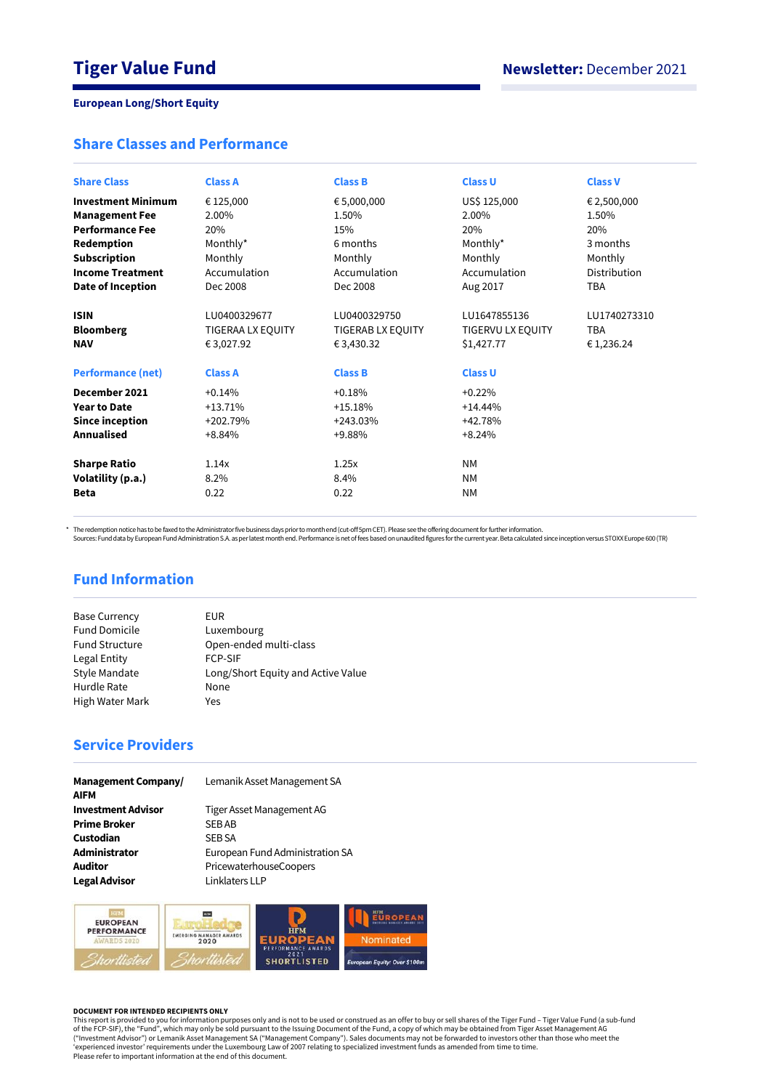# **Share Classes and Performance**

| <b>Share Class</b>                                                        | <b>Class A</b>                                                           | <b>Class B</b>                                                    | <b>Class U</b>                                                    | <b>Class V</b>                          |
|---------------------------------------------------------------------------|--------------------------------------------------------------------------|-------------------------------------------------------------------|-------------------------------------------------------------------|-----------------------------------------|
| <b>Investment Minimum</b>                                                 | € 125,000                                                                | € 5,000,000                                                       | US\$ 125,000                                                      | € 2,500,000                             |
| <b>Management Fee</b>                                                     | 2.00%                                                                    | 1.50%                                                             | 2.00%                                                             | 1.50%                                   |
| <b>Performance Fee</b>                                                    | 20%                                                                      | 15%                                                               | 20%                                                               | 20%                                     |
| Redemption                                                                | Monthly*                                                                 | 6 months                                                          | Monthly*                                                          | 3 months                                |
| <b>Subscription</b>                                                       | Monthly                                                                  | Monthly                                                           | Monthly                                                           | Monthly                                 |
| <b>Income Treatment</b>                                                   | Accumulation                                                             | Accumulation                                                      | Accumulation                                                      | Distribution                            |
| Date of Inception                                                         | Dec 2008                                                                 | Dec 2008                                                          | Aug 2017                                                          | <b>TBA</b>                              |
| <b>ISIN</b><br><b>Bloomberg</b><br><b>NAV</b><br><b>Performance (net)</b> | LU0400329677<br><b>TIGERAA LX EQUITY</b><br>€ 3,027.92<br><b>Class A</b> | LU0400329750<br>TIGERAB LX EQUITY<br>€ 3,430.32<br><b>Class B</b> | LU1647855136<br>TIGERVU LX EQUITY<br>\$1,427.77<br><b>Class U</b> | LU1740273310<br><b>TBA</b><br>€1,236.24 |
| December 2021                                                             | $+0.14%$                                                                 | $+0.18%$                                                          | $+0.22%$                                                          |                                         |
| <b>Year to Date</b>                                                       | $+13.71%$                                                                | $+15.18%$                                                         | $+14.44%$                                                         |                                         |
| Since inception                                                           | $+202.79%$                                                               | $+243.03%$                                                        | +42.78%                                                           |                                         |
| <b>Annualised</b>                                                         | $+8.84%$                                                                 | +9.88%                                                            | $+8.24%$                                                          |                                         |
| <b>Sharpe Ratio</b>                                                       | 1.14x                                                                    | 1.25x                                                             | <b>NM</b>                                                         |                                         |
| Volatility (p.a.)                                                         | 8.2%                                                                     | 8.4%                                                              | <b>NM</b>                                                         |                                         |
| <b>Beta</b>                                                               | 0.22                                                                     | 0.22                                                              | <b>NM</b>                                                         |                                         |

\* The redemption notice has to be faxed to the Administrator five business days prior to month end (cut-off 5pm CET). Please see the offering document for further information.<br>Sources: Fund data by European Fund Administra

# **Fund Information**

| <b>Base Currency</b>  | EUR                                |
|-----------------------|------------------------------------|
| <b>Fund Domicile</b>  | Luxembourg                         |
| <b>Fund Structure</b> | Open-ended multi-class             |
| Legal Entity          | <b>FCP-SIF</b>                     |
| Style Mandate         | Long/Short Equity and Active Value |
| Hurdle Rate           | None                               |
| High Water Mark       | Yes                                |
|                       |                                    |

# **Service Providers**

| <b>Management Company/</b><br><b>AIFM</b> | Lemanik Asset Management SA  |
|-------------------------------------------|------------------------------|
| <b>Investment Advisor</b>                 | Tiger Asset Management AG    |
| <b>Prime Broker</b>                       | <b>SEBAB</b>                 |
| Custodian                                 | <b>SEB SA</b>                |
| Administrator                             | European Fund Administration |
| <b>Auditor</b>                            | PricewaterhouseCoopers       |
| <b>Legal Advisor</b>                      | Linklaters LLP               |

**Management AG Fund Administration SA houseCoopers**<br>LLP



#### **DOCUMENT FOR INTENDED RECIPIENTS ONLY**

This report is provided to you for information purposes only and is not to be used or construed as an offer to buy or sell shares of the Tiger Fund – Tiger Value Fund (a sub-fund<br>of the FCP-SIF), the "Fund", which may only